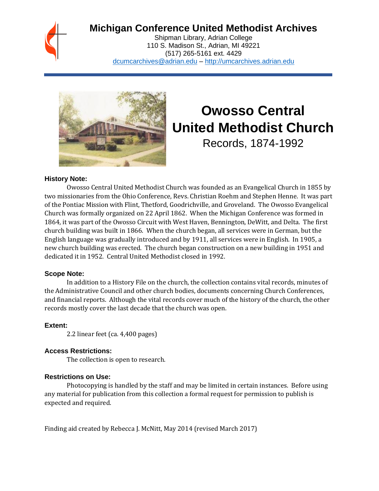## **Michigan Conference United Methodist Archives**

Shipman Library, Adrian College 110 S. Madison St., Adrian, MI 49221 (517) 265-5161 ext. 4429 [dcumcarchives@adrian.edu](mailto:dcumcarchives@adrian.edu) – [http://umcarchives.adrian.edu](http://umcarchives.adrian.edu/)



# **Owosso Central United Methodist Church**

Records, 1874-1992

#### **History Note:**

Owosso Central United Methodist Church was founded as an Evangelical Church in 1855 by two missionaries from the Ohio Conference, Revs. Christian Roehm and Stephen Henne. It was part of the Pontiac Mission with Flint, Thetford, Goodrichville, and Groveland. The Owosso Evangelical Church was formally organized on 22 April 1862. When the Michigan Conference was formed in 1864, it was part of the Owosso Circuit with West Haven, Bennington, DeWitt, and Delta. The first church building was built in 1866. When the church began, all services were in German, but the English language was gradually introduced and by 1911, all services were in English. In 1905, a new church building was erected. The church began construction on a new building in 1951 and dedicated it in 1952. Central United Methodist closed in 1992.

#### **Scope Note:**

In addition to a History File on the church, the collection contains vital records, minutes of the Administrative Council and other church bodies, documents concerning Church Conferences, and financial reports. Although the vital records cover much of the history of the church, the other records mostly cover the last decade that the church was open.

### **Extent:**

2.2 linear feet (ca. 4,400 pages)

### **Access Restrictions:**

The collection is open to research.

### **Restrictions on Use:**

Photocopying is handled by the staff and may be limited in certain instances. Before using any material for publication from this collection a formal request for permission to publish is expected and required.

Finding aid created by Rebecca J. McNitt, May 2014 (revised March 2017)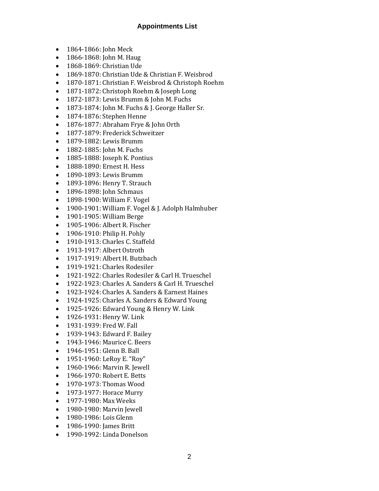#### **Appointments List**

- 1864-1866: John Meck
- 1866-1868: John M. Haug
- 1868-1869: Christian Ude
- 1869-1870: Christian Ude & Christian F. Weisbrod
- 1870-1871: Christian F. Weisbrod & Christoph Roehm
- 1871-1872: Christoph Roehm & Joseph Long
- 1872-1873: Lewis Brumm & John M. Fuchs
- 1873-1874: John M. Fuchs & J. George Haller Sr.
- 1874-1876: Stephen Henne
- 1876-1877: Abraham Frye & John Orth
- 1877-1879: Frederick Schweitzer
- 1879-1882: Lewis Brumm
- 1882-1885: John M. Fuchs
- 1885-1888: Joseph K. Pontius
- 1888-1890: Ernest H. Hess
- 1890-1893: Lewis Brumm
- 1893-1896: Henry T. Strauch
- 1896-1898: John Schmaus
- 1898-1900: William F. Vogel
- 1900-1901: William F. Vogel & J. Adolph Halmhuber
- 1901-1905: William Berge
- 1905-1906: Albert R. Fischer
- 1906-1910: Philip H. Pohly
- 1910-1913: Charles C. Staffeld
- 1913-1917: Albert Ostroth
- 1917-1919: Albert H. Butzbach
- 1919-1921: Charles Rodesiler
- 1921-1922: Charles Rodesiler & Carl H. Trueschel
- 1922-1923: Charles A. Sanders & Carl H. Trueschel
- 1923-1924: Charles A. Sanders & Earnest Haines
- 1924-1925: Charles A. Sanders & Edward Young
- 1925-1926: Edward Young & Henry W. Link
- 1926-1931: Henry W. Link
- 1931-1939: Fred W. Fall
- 1939-1943: Edward F. Bailey
- 1943-1946: Maurice C. Beers
- 1946-1951: Glenn B. Ball
- 1951-1960: LeRoy E. "Roy"
- 1960-1966: Marvin R. Jewell
- 1966-1970: Robert E. Betts
- 1970-1973: Thomas Wood
- 1973-1977: Horace Murry
- 1977-1980: Max Weeks
- 1980-1980: Marvin Jewell
- 1980-1986: Lois Glenn
- 1986-1990: James Britt
- 1990-1992: Linda Donelson